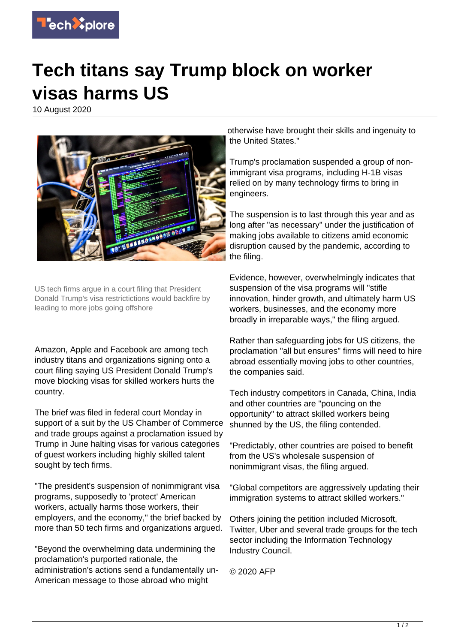

## **Tech titans say Trump block on worker visas harms US**

10 August 2020



US tech firms argue in a court filing that President Donald Trump's visa restrictictions would backfire by leading to more jobs going offshore

Amazon, Apple and Facebook are among tech industry titans and organizations signing onto a court filing saying US President Donald Trump's move blocking visas for skilled workers hurts the country.

The brief was filed in federal court Monday in support of a suit by the US Chamber of Commerce and trade groups against a proclamation issued by Trump in June halting visas for various categories of guest workers including highly skilled talent sought by tech firms.

"The president's suspension of nonimmigrant visa programs, supposedly to 'protect' American workers, actually harms those workers, their employers, and the economy," the brief backed by more than 50 tech firms and organizations argued.

"Beyond the overwhelming data undermining the proclamation's purported rationale, the administration's actions send a fundamentally un-American message to those abroad who might

otherwise have brought their skills and ingenuity to the United States."

Trump's proclamation suspended a group of nonimmigrant visa programs, including H-1B visas relied on by many technology firms to bring in engineers.

The suspension is to last through this year and as long after "as necessary" under the justification of making jobs available to citizens amid economic disruption caused by the pandemic, according to the filing.

Evidence, however, overwhelmingly indicates that suspension of the visa programs will "stifle innovation, hinder growth, and ultimately harm US workers, businesses, and the economy more broadly in irreparable ways," the filing argued.

Rather than safeguarding jobs for US citizens, the proclamation "all but ensures" firms will need to hire abroad essentially moving jobs to other countries, the companies said.

Tech industry competitors in Canada, China, India and other countries are "pouncing on the opportunity" to attract skilled workers being shunned by the US, the filing contended.

"Predictably, other countries are poised to benefit from the US's wholesale suspension of nonimmigrant visas, the filing argued.

"Global competitors are aggressively updating their immigration systems to attract skilled workers."

Others joining the petition included Microsoft, Twitter, Uber and several trade groups for the tech sector including the Information Technology Industry Council.

© 2020 AFP